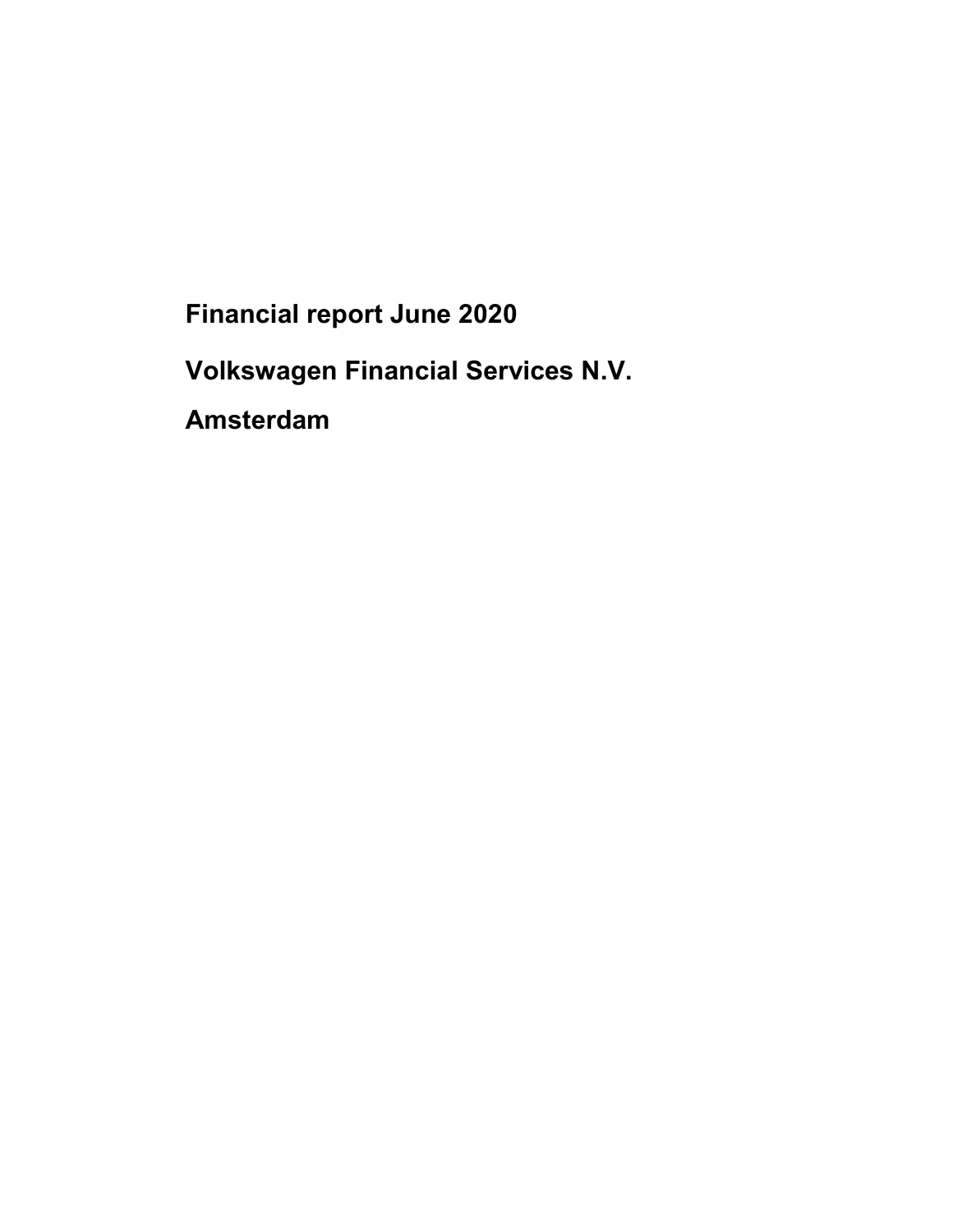Financial report June 2020

Volkswagen Financial Services N.V.

Amsterdam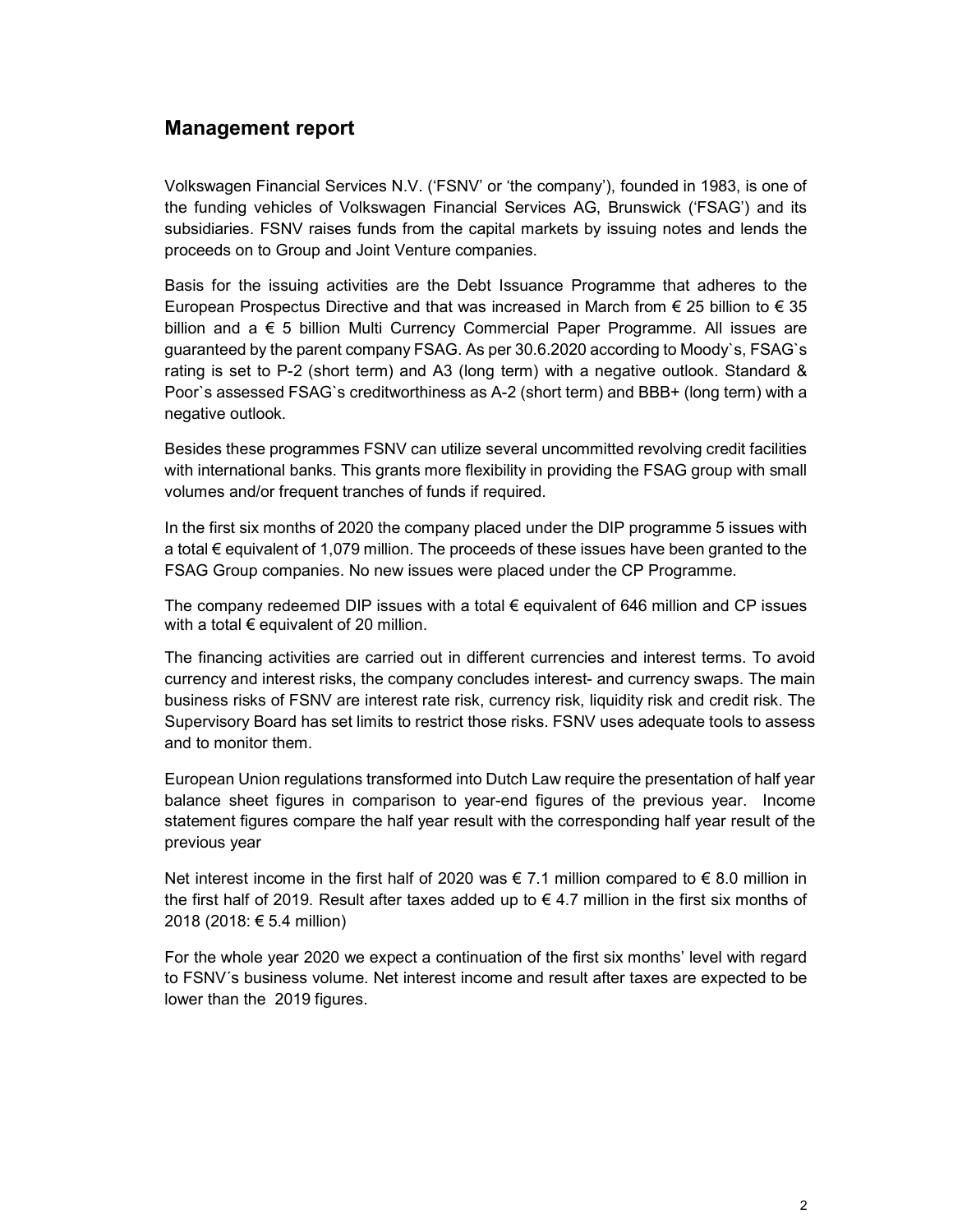# Management report

Volkswagen Financial Services N.V. ('FSNV' or 'the company'), founded in 1983, is one of the funding vehicles of Volkswagen Financial Services AG, Brunswick ('FSAG') and its subsidiaries. FSNV raises funds from the capital markets by issuing notes and lends the proceeds on to Group and Joint Venture companies.

Basis for the issuing activities are the Debt Issuance Programme that adheres to the European Prospectus Directive and that was increased in March from  $\epsilon$  25 billion to  $\epsilon$  35 billion and a € 5 billion Multi Currency Commercial Paper Programme. All issues are guaranteed by the parent company FSAG. As per 30.6.2020 according to Moody`s, FSAG`s rating is set to P-2 (short term) and A3 (long term) with a negative outlook. Standard & Poor`s assessed FSAG`s creditworthiness as A-2 (short term) and BBB+ (long term) with a negative outlook.

Besides these programmes FSNV can utilize several uncommitted revolving credit facilities with international banks. This grants more flexibility in providing the FSAG group with small volumes and/or frequent tranches of funds if required.

In the first six months of 2020 the company placed under the DIP programme 5 issues with a total € equivalent of 1,079 million. The proceeds of these issues have been granted to the FSAG Group companies. No new issues were placed under the CP Programme.

The company redeemed DIP issues with a total  $\epsilon$  equivalent of 646 million and CP issues with a total  $\epsilon$  equivalent of 20 million.

The financing activities are carried out in different currencies and interest terms. To avoid currency and interest risks, the company concludes interest- and currency swaps. The main business risks of FSNV are interest rate risk, currency risk, liquidity risk and credit risk. The Supervisory Board has set limits to restrict those risks. FSNV uses adequate tools to assess and to monitor them.

European Union regulations transformed into Dutch Law require the presentation of half year balance sheet figures in comparison to year-end figures of the previous year. Income statement figures compare the half year result with the corresponding half year result of the previous year

Net interest income in the first half of 2020 was  $\epsilon$  7.1 million compared to  $\epsilon$  8.0 million in the first half of 2019. Result after taxes added up to  $\epsilon$  4.7 million in the first six months of 2018 (2018: € 5.4 million)

For the whole year 2020 we expect a continuation of the first six months' level with regard to FSNV´s business volume. Net interest income and result after taxes are expected to be lower than the 2019 figures.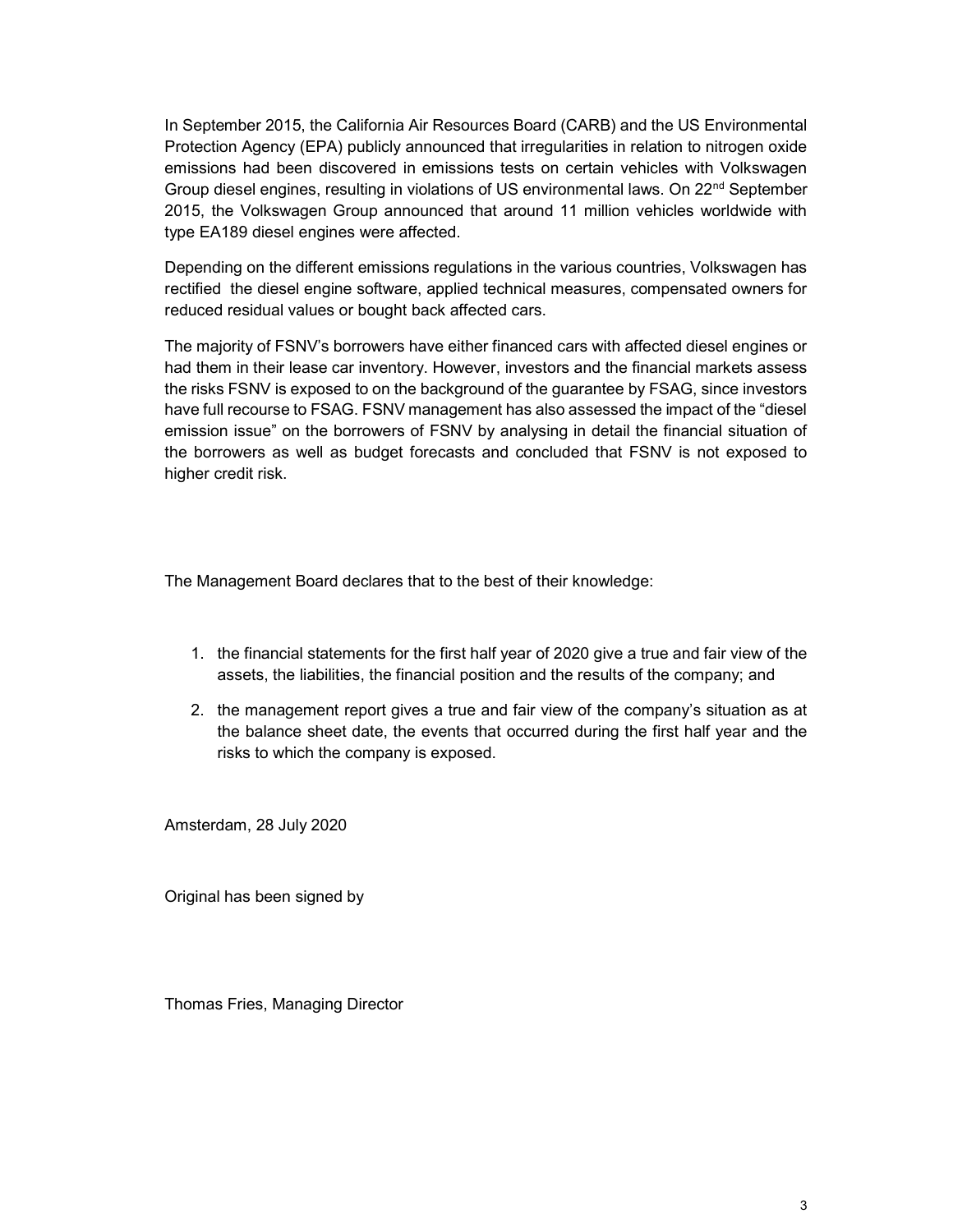In September 2015, the California Air Resources Board (CARB) and the US Environmental Protection Agency (EPA) publicly announced that irregularities in relation to nitrogen oxide emissions had been discovered in emissions tests on certain vehicles with Volkswagen Group diesel engines, resulting in violations of US environmental laws. On 22nd September 2015, the Volkswagen Group announced that around 11 million vehicles worldwide with type EA189 diesel engines were affected.

Depending on the different emissions regulations in the various countries, Volkswagen has rectified the diesel engine software, applied technical measures, compensated owners for reduced residual values or bought back affected cars.

The majority of FSNV's borrowers have either financed cars with affected diesel engines or had them in their lease car inventory. However, investors and the financial markets assess the risks FSNV is exposed to on the background of the guarantee by FSAG, since investors have full recourse to FSAG. FSNV management has also assessed the impact of the "diesel emission issue" on the borrowers of FSNV by analysing in detail the financial situation of the borrowers as well as budget forecasts and concluded that FSNV is not exposed to higher credit risk.

The Management Board declares that to the best of their knowledge:

- 1. the financial statements for the first half year of 2020 give a true and fair view of the assets, the liabilities, the financial position and the results of the company; and
- 2. the management report gives a true and fair view of the company's situation as at the balance sheet date, the events that occurred during the first half year and the risks to which the company is exposed.

Amsterdam, 28 July 2020

Original has been signed by

Thomas Fries, Managing Director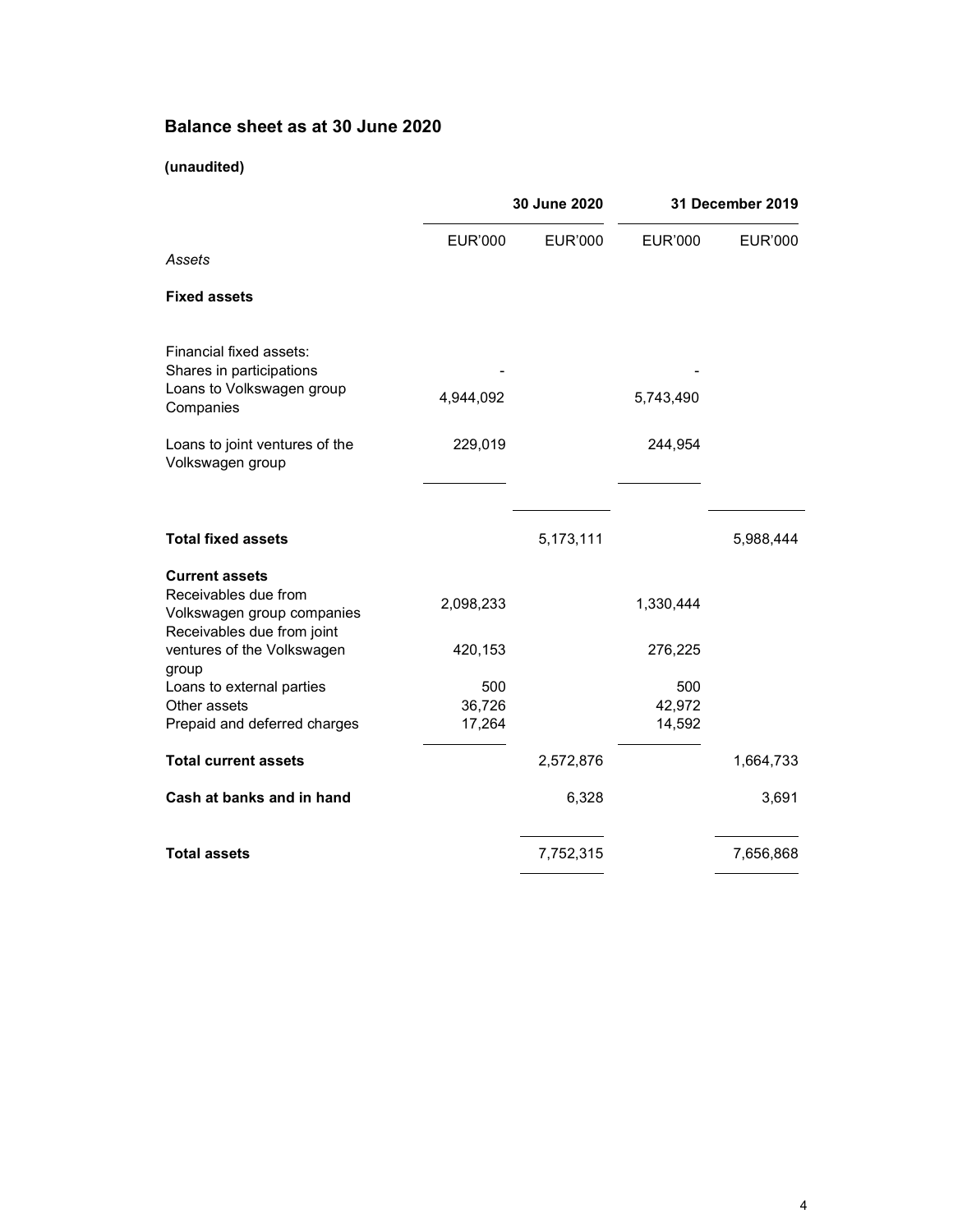# Balance sheet as at 30 June 2020

## (unaudited)

|                                                                             | 30 June 2020            |                | 31 December 2019        |                |
|-----------------------------------------------------------------------------|-------------------------|----------------|-------------------------|----------------|
| Assets                                                                      | <b>EUR'000</b>          | <b>EUR'000</b> | <b>EUR'000</b>          | <b>EUR'000</b> |
| <b>Fixed assets</b>                                                         |                         |                |                         |                |
| Financial fixed assets:<br>Shares in participations                         |                         |                |                         |                |
| Loans to Volkswagen group<br>Companies                                      | 4,944,092               |                | 5,743,490               |                |
| Loans to joint ventures of the<br>Volkswagen group                          | 229,019                 |                | 244,954                 |                |
| <b>Total fixed assets</b>                                                   |                         | 5,173,111      |                         | 5,988,444      |
| <b>Current assets</b><br>Receivables due from<br>Volkswagen group companies | 2,098,233               |                | 1,330,444               |                |
| Receivables due from joint<br>ventures of the Volkswagen<br>group           | 420,153                 |                | 276,225                 |                |
| Loans to external parties<br>Other assets<br>Prepaid and deferred charges   | 500<br>36,726<br>17,264 |                | 500<br>42,972<br>14,592 |                |
| <b>Total current assets</b>                                                 |                         | 2,572,876      |                         | 1,664,733      |
| Cash at banks and in hand                                                   |                         | 6,328          |                         | 3,691          |
| <b>Total assets</b>                                                         |                         | 7,752,315      |                         | 7,656,868      |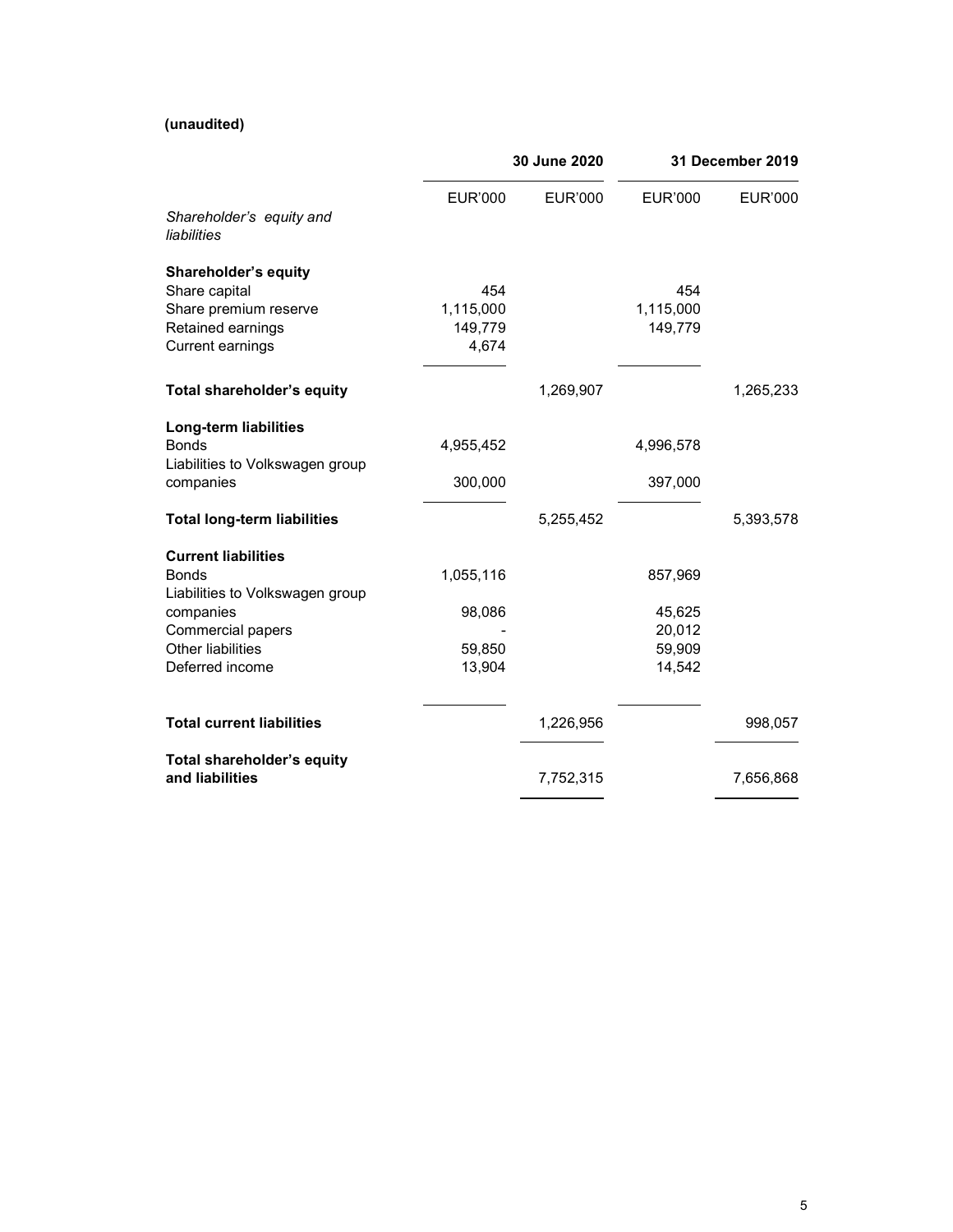## (unaudited)

|                                                                                                                                                         | 30 June 2020                            |                | 31 December 2019                                |           |
|---------------------------------------------------------------------------------------------------------------------------------------------------------|-----------------------------------------|----------------|-------------------------------------------------|-----------|
| Shareholder's equity and<br>liabilities                                                                                                                 | <b>EUR'000</b>                          | <b>EUR'000</b> | <b>EUR'000</b>                                  | EUR'000   |
| <b>Shareholder's equity</b><br>Share capital<br>Share premium reserve<br>Retained earnings<br><b>Current earnings</b>                                   | 454<br>1,115,000<br>149,779<br>4,674    |                | 454<br>1,115,000<br>149,779                     |           |
| Total shareholder's equity                                                                                                                              |                                         | 1,269,907      |                                                 | 1,265,233 |
| Long-term liabilities<br><b>Bonds</b><br>Liabilities to Volkswagen group<br>companies                                                                   | 4,955,452<br>300,000                    |                | 4,996,578<br>397,000                            |           |
| <b>Total long-term liabilities</b>                                                                                                                      |                                         | 5,255,452      |                                                 | 5,393,578 |
| <b>Current liabilities</b><br><b>Bonds</b><br>Liabilities to Volkswagen group<br>companies<br>Commercial papers<br>Other liabilities<br>Deferred income | 1,055,116<br>98,086<br>59,850<br>13,904 |                | 857,969<br>45,625<br>20,012<br>59,909<br>14,542 |           |
| <b>Total current liabilities</b>                                                                                                                        |                                         | 1,226,956      |                                                 | 998,057   |
| Total shareholder's equity<br>and liabilities                                                                                                           |                                         | 7,752,315      |                                                 | 7,656,868 |